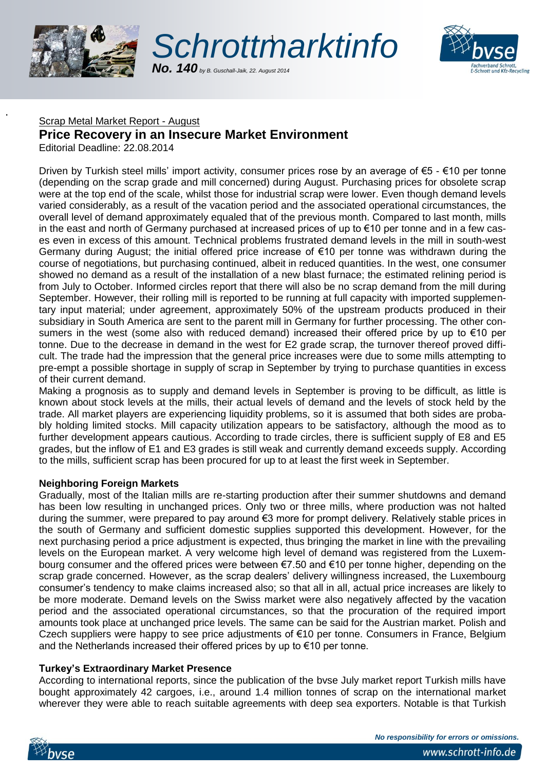

T





## Scrap Metal Market Report - August

# **Price Recovery in an Insecure Market Environment**

Editorial Deadline: 22.08.2014

Driven by Turkish steel mills' import activity, consumer prices rose by an average of €5 - €10 per tonne (depending on the scrap grade and mill concerned) during August. Purchasing prices for obsolete scrap were at the top end of the scale, whilst those for industrial scrap were lower. Even though demand levels varied considerably, as a result of the vacation period and the associated operational circumstances, the overall level of demand approximately equaled that of the previous month. Compared to last month, mills in the east and north of Germany purchased at increased prices of up to €10 per tonne and in a few cases even in excess of this amount. Technical problems frustrated demand levels in the mill in south-west Germany during August; the initial offered price increase of €10 per tonne was withdrawn during the course of negotiations, but purchasing continued, albeit in reduced quantities. In the west, one consumer showed no demand as a result of the installation of a new blast furnace; the estimated relining period is from July to October. Informed circles report that there will also be no scrap demand from the mill during September. However, their rolling mill is reported to be running at full capacity with imported supplementary input material; under agreement, approximately 50% of the upstream products produced in their subsidiary in South America are sent to the parent mill in Germany for further processing. The other consumers in the west (some also with reduced demand) increased their offered price by up to €10 per tonne. Due to the decrease in demand in the west for E2 grade scrap, the turnover thereof proved difficult. The trade had the impression that the general price increases were due to some mills attempting to pre-empt a possible shortage in supply of scrap in September by trying to purchase quantities in excess of their current demand.

Making a prognosis as to supply and demand levels in September is proving to be difficult, as little is known about stock levels at the mills, their actual levels of demand and the levels of stock held by the trade. All market players are experiencing liquidity problems, so it is assumed that both sides are probably holding limited stocks. Mill capacity utilization appears to be satisfactory, although the mood as to further development appears cautious. According to trade circles, there is sufficient supply of E8 and E5 grades, but the inflow of E1 and E3 grades is still weak and currently demand exceeds supply. According to the mills, sufficient scrap has been procured for up to at least the first week in September.

### **Neighboring Foreign Markets**

Gradually, most of the Italian mills are re-starting production after their summer shutdowns and demand has been low resulting in unchanged prices. Only two or three mills, where production was not halted during the summer, were prepared to pay around €3 more for prompt delivery. Relatively stable prices in the south of Germany and sufficient domestic supplies supported this development. However, for the next purchasing period a price adjustment is expected, thus bringing the market in line with the prevailing levels on the European market. A very welcome high level of demand was registered from the Luxembourg consumer and the offered prices were between €7.50 and €10 per tonne higher, depending on the scrap grade concerned. However, as the scrap dealers' delivery willingness increased, the Luxembourg consumer's tendency to make claims increased also; so that all in all, actual price increases are likely to be more moderate. Demand levels on the Swiss market were also negatively affected by the vacation period and the associated operational circumstances, so that the procuration of the required import amounts took place at unchanged price levels. The same can be said for the Austrian market. Polish and Czech suppliers were happy to see price adjustments of €10 per tonne. Consumers in France, Belgium and the Netherlands increased their offered prices by up to €10 per tonne.

### **Turkey's Extraordinary Market Presence**

According to international reports, since the publication of the bvse July market report Turkish mills have bought approximately 42 cargoes, i.e., around 1.4 million tonnes of scrap on the international market wherever they were able to reach suitable agreements with deep sea exporters. Notable is that Turkish